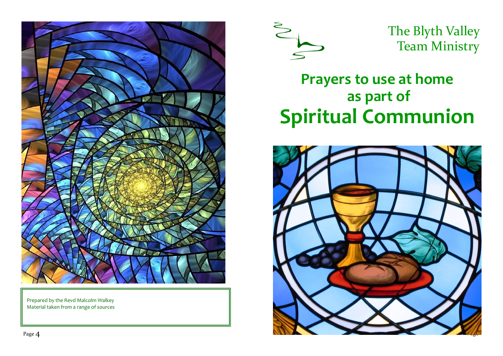

Prepared by the Revd Malcolm Walkey Material taken from a range of sources



The Blyth Valley Team Ministry

# **Prayers to use at home as part of Spiritual Communion**